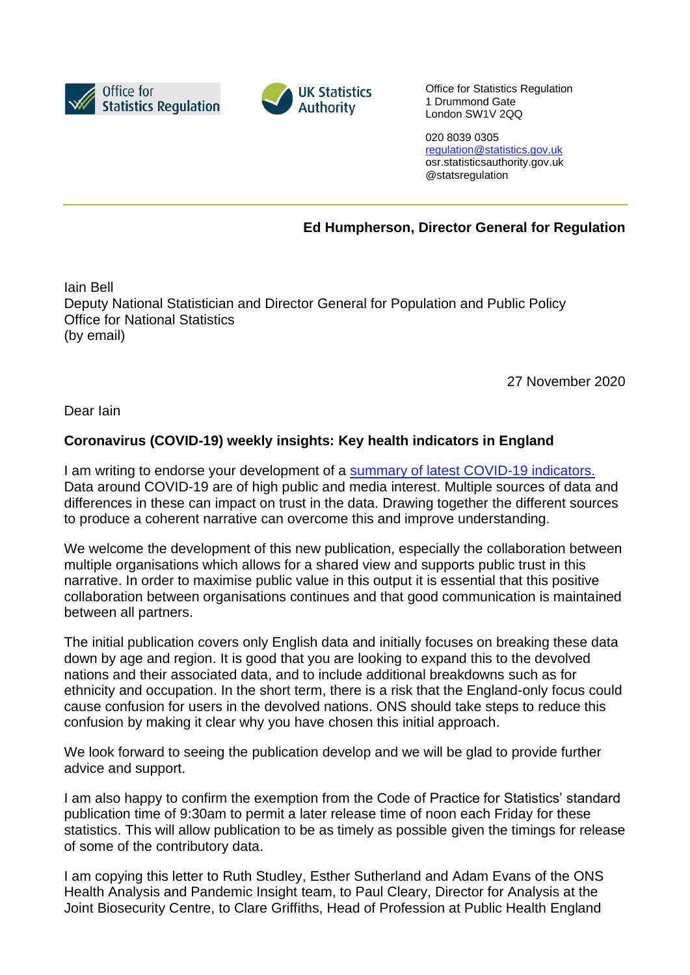



Office for Statistics Regulation 1 Drummond Gate London SW1V 2QQ

020 8039 0305 [regulation@statistics.gov.uk](mailto:E:%E2%80%82regulation@statistics.gov.uk) osr.statisticsauthority.gov.uk @statsregulation

**Ed Humpherson, Director General for Regulation**

Iain Bell Deputy National Statistician and Director General for Population and Public Policy Office for National Statistics (by email)

27 November 2020

Dear Iain

## **Coronavirus (COVID-19) weekly insights: Key health indicators in England**

I am writing to endorse your development of a [summary of latest COVID-19 indicators.](https://www.ons.gov.uk/peoplepopulationandcommunity/healthandsocialcare/conditionsanddiseases/articles/coronaviruscovid19weeklyinsights/previousReleases) Data around COVID-19 are of high public and media interest. Multiple sources of data and differences in these can impact on trust in the data. Drawing together the different sources to produce a coherent narrative can overcome this and improve understanding.

We welcome the development of this new publication, especially the collaboration between multiple organisations which allows for a shared view and supports public trust in this narrative. In order to maximise public value in this output it is essential that this positive collaboration between organisations continues and that good communication is maintained between all partners.

The initial publication covers only English data and initially focuses on breaking these data down by age and region. It is good that you are looking to expand this to the devolved nations and their associated data, and to include additional breakdowns such as for ethnicity and occupation. In the short term, there is a risk that the England-only focus could cause confusion for users in the devolved nations. ONS should take steps to reduce this confusion by making it clear why you have chosen this initial approach.

We look forward to seeing the publication develop and we will be glad to provide further advice and support.

I am also happy to confirm the exemption from the Code of Practice for Statistics' standard publication time of 9:30am to permit a later release time of noon each Friday for these statistics. This will allow publication to be as timely as possible given the timings for release of some of the contributory data.

I am copying this letter to Ruth Studley, Esther Sutherland and Adam Evans of the ONS Health Analysis and Pandemic Insight team, to Paul Cleary, Director for Analysis at the Joint Biosecurity Centre, to Clare Griffiths, Head of Profession at Public Health England